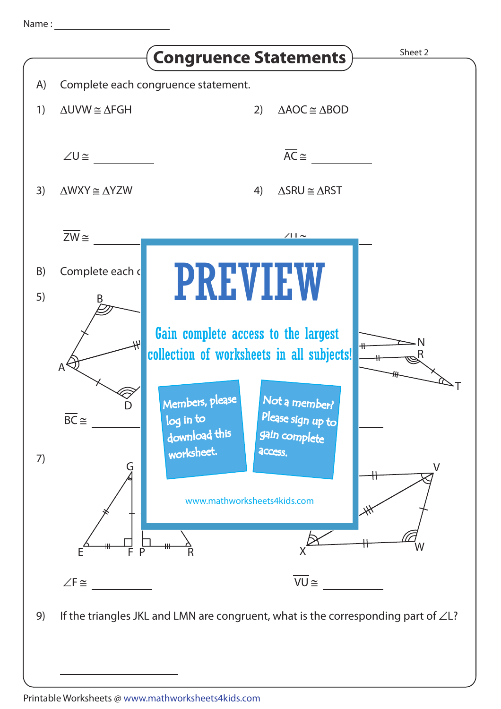